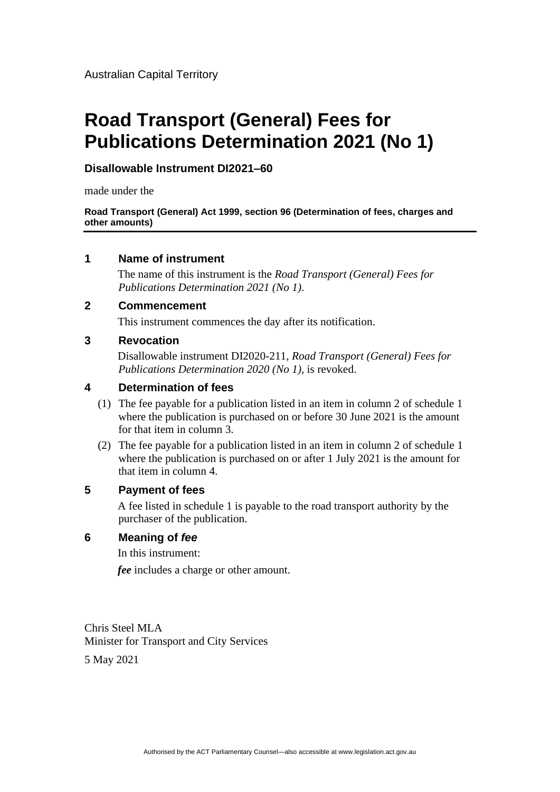# **Road Transport (General) Fees for Publications Determination 2021 (No 1)**

# **Disallowable Instrument DI2021–60**

made under the

**Road Transport (General) Act 1999, section 96 (Determination of fees, charges and other amounts)**

# **1 Name of instrument**

The name of this instrument is the *Road Transport (General) Fees for Publications Determination 2021 (No 1)*.

# **2 Commencement**

This instrument commences the day after its notification.

#### **3 Revocation**

Disallowable instrument DI2020-211, *Road Transport (General) Fees for Publications Determination 2020 (No 1)*, is revoked.

# **4 Determination of fees**

- (1) The fee payable for a publication listed in an item in column 2 of schedule 1 where the publication is purchased on or before 30 June 2021 is the amount for that item in column 3.
- (2) The fee payable for a publication listed in an item in column 2 of schedule 1 where the publication is purchased on or after 1 July 2021 is the amount for that item in column 4.

#### **5 Payment of fees**

A fee listed in schedule 1 is payable to the road transport authority by the purchaser of the publication.

#### **6 Meaning of** *fee*

In this instrument:

*fee* includes a charge or other amount.

Chris Steel MLA Minister for Transport and City Services

5 May 2021